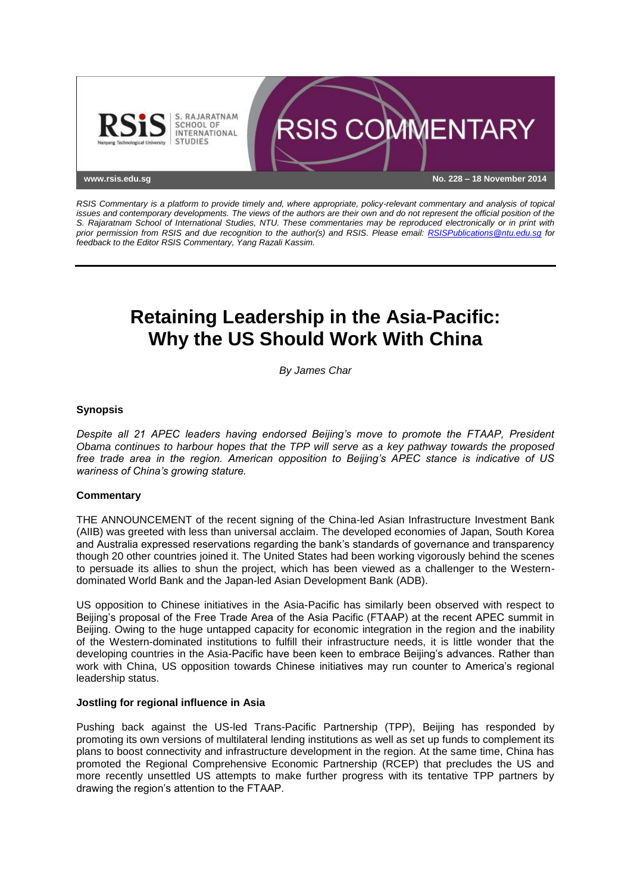

*RSIS Commentary is a platform to provide timely and, where appropriate, policy-relevant commentary and analysis of topical issues and contemporary developments. The views of the authors are their own and do not represent the official position of the S. Rajaratnam School of International Studies, NTU. These commentaries may be reproduced electronically or in print with prior permission from RSIS and due recognition to the author(s) and RSIS. Please email: [RSISPublications@ntu.edu.sg](mailto:RSISPublications@ntu.edu.sg) for feedback to the Editor RSIS Commentary, Yang Razali Kassim.*

# **Retaining Leadership in the Asia-Pacific: Why the US Should Work With China**

*By James Char*

## **Synopsis**

*Despite all 21 APEC leaders having endorsed Beijing's move to promote the FTAAP, President Obama continues to harbour hopes that the TPP will serve as a key pathway towards the proposed free trade area in the region. American opposition to Beijing's APEC stance is indicative of US wariness of China's growing stature.*

### **Commentary**

THE ANNOUNCEMENT of the recent signing of the China-led Asian Infrastructure Investment Bank (AIIB) was greeted with less than universal acclaim. The developed economies of Japan, South Korea and Australia expressed reservations regarding the bank's standards of governance and transparency though 20 other countries joined it. The United States had been working vigorously behind the scenes to persuade its allies to shun the project, which has been viewed as a challenger to the Westerndominated World Bank and the Japan-led Asian Development Bank (ADB).

US opposition to Chinese initiatives in the Asia-Pacific has similarly been observed with respect to Beijing's proposal of the Free Trade Area of the Asia Pacific (FTAAP) at the recent APEC summit in Beijing. Owing to the huge untapped capacity for economic integration in the region and the inability of the Western-dominated institutions to fulfill their infrastructure needs, it is little wonder that the developing countries in the Asia-Pacific have been keen to embrace Beijing's advances. Rather than work with China, US opposition towards Chinese initiatives may run counter to America's regional leadership status.

### **Jostling for regional influence in Asia**

Pushing back against the US-led Trans-Pacific Partnership (TPP), Beijing has responded by promoting its own versions of multilateral lending institutions as well as set up funds to complement its plans to boost connectivity and infrastructure development in the region. At the same time, China has promoted the Regional Comprehensive Economic Partnership (RCEP) that precludes the US and more recently unsettled US attempts to make further progress with its tentative TPP partners by drawing the region's attention to the FTAAP.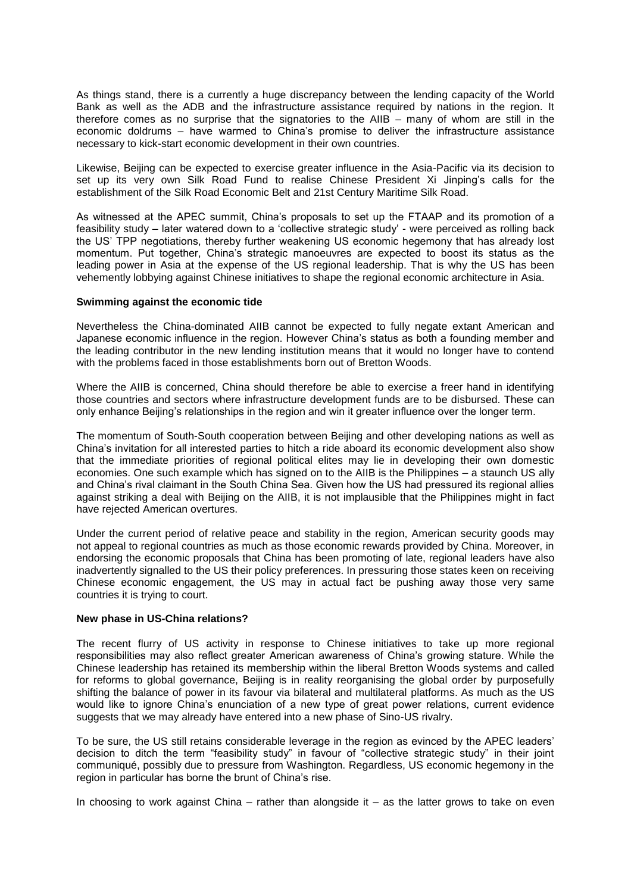As things stand, there is a currently a huge discrepancy between the lending capacity of the World Bank as well as the ADB and the infrastructure assistance required by nations in the region. It therefore comes as no surprise that the signatories to the AIIB – many of whom are still in the economic doldrums – have warmed to China's promise to deliver the infrastructure assistance necessary to kick-start economic development in their own countries.

Likewise, Beijing can be expected to exercise greater influence in the Asia-Pacific via its decision to set up its very own Silk Road Fund to realise Chinese President Xi Jinping's calls for the establishment of the Silk Road Economic Belt and 21st Century Maritime Silk Road.

As witnessed at the APEC summit, China's proposals to set up the FTAAP and its promotion of a feasibility study – later watered down to a 'collective strategic study' - were perceived as rolling back the US' TPP negotiations, thereby further weakening US economic hegemony that has already lost momentum. Put together, China's strategic manoeuvres are expected to boost its status as the leading power in Asia at the expense of the US regional leadership. That is why the US has been vehemently lobbying against Chinese initiatives to shape the regional economic architecture in Asia.

#### **Swimming against the economic tide**

Nevertheless the China-dominated AIIB cannot be expected to fully negate extant American and Japanese economic influence in the region. However China's status as both a founding member and the leading contributor in the new lending institution means that it would no longer have to contend with the problems faced in those establishments born out of Bretton Woods.

Where the AIIB is concerned, China should therefore be able to exercise a freer hand in identifying those countries and sectors where infrastructure development funds are to be disbursed. These can only enhance Beijing's relationships in the region and win it greater influence over the longer term.

The momentum of South-South cooperation between Beijing and other developing nations as well as China's invitation for all interested parties to hitch a ride aboard its economic development also show that the immediate priorities of regional political elites may lie in developing their own domestic economies. One such example which has signed on to the AIIB is the Philippines – a staunch US ally and China's rival claimant in the South China Sea. Given how the US had pressured its regional allies against striking a deal with Beijing on the AIIB, it is not implausible that the Philippines might in fact have rejected American overtures.

Under the current period of relative peace and stability in the region, American security goods may not appeal to regional countries as much as those economic rewards provided by China. Moreover, in endorsing the economic proposals that China has been promoting of late, regional leaders have also inadvertently signalled to the US their policy preferences. In pressuring those states keen on receiving Chinese economic engagement, the US may in actual fact be pushing away those very same countries it is trying to court.

### **New phase in US-China relations?**

The recent flurry of US activity in response to Chinese initiatives to take up more regional responsibilities may also reflect greater American awareness of China's growing stature. While the Chinese leadership has retained its membership within the liberal Bretton Woods systems and called for reforms to global governance, Beijing is in reality reorganising the global order by purposefully shifting the balance of power in its favour via bilateral and multilateral platforms. As much as the US would like to ignore China's enunciation of a new type of great power relations, current evidence suggests that we may already have entered into a new phase of Sino-US rivalry.

To be sure, the US still retains considerable leverage in the region as evinced by the APEC leaders' decision to ditch the term "feasibility study" in favour of "collective strategic study" in their joint communiqué, possibly due to pressure from Washington. Regardless, US economic hegemony in the region in particular has borne the brunt of China's rise.

In choosing to work against China – rather than alongside it – as the latter grows to take on even